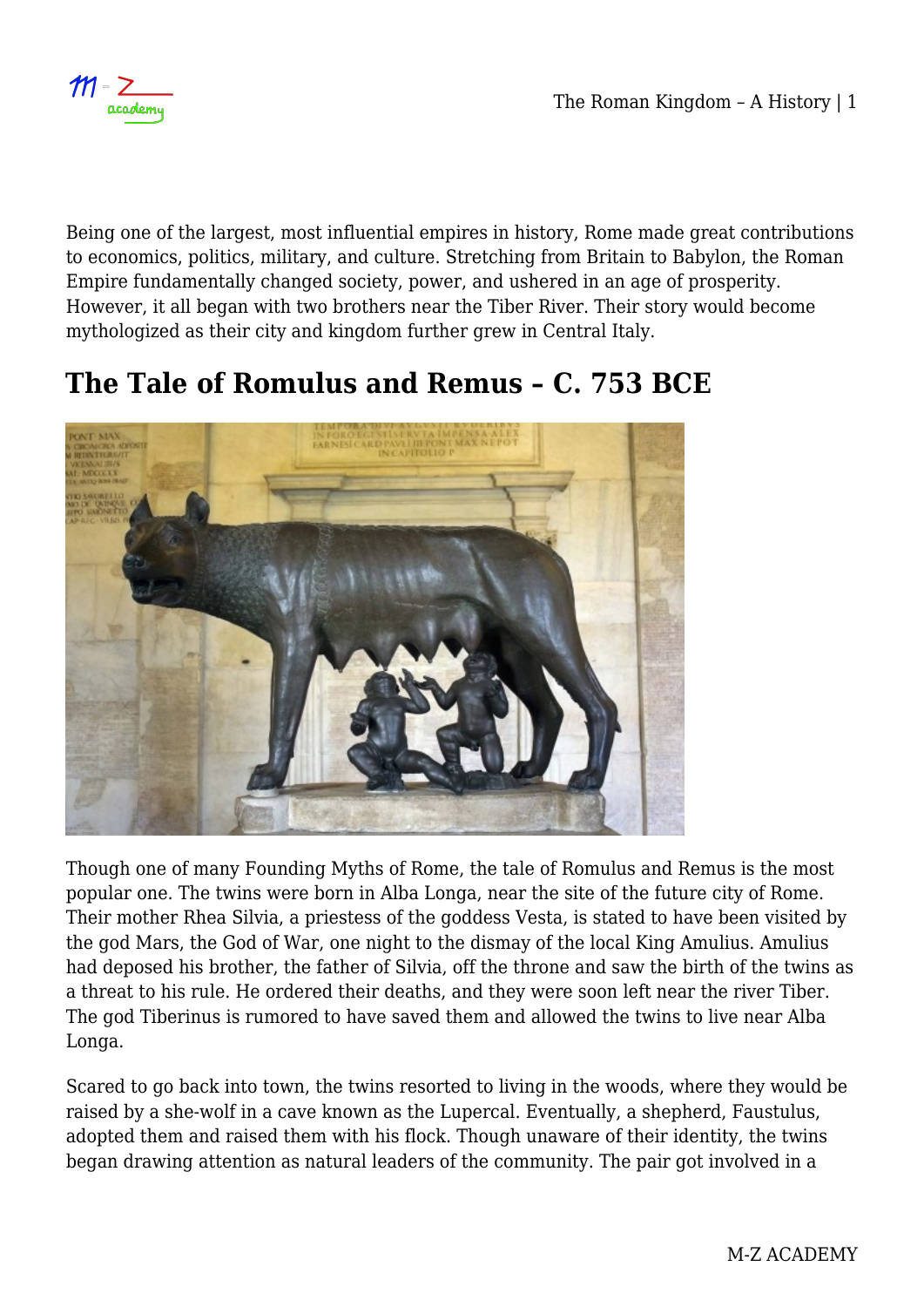

Being one of the largest, most influential empires in history, Rome made great contributions to economics, politics, military, and culture. Stretching from Britain to Babylon, the Roman Empire fundamentally changed society, power, and ushered in an age of prosperity. However, it all began with two brothers near the Tiber River. Their story would become mythologized as their city and kingdom further grew in Central Italy.

#### **The Tale of Romulus and Remus – C. 753 BCE**



Though one of many Founding Myths of Rome, the tale of Romulus and Remus is the most popular one. The twins were born in Alba Longa, near the site of the future city of Rome. Their mother Rhea Silvia, a priestess of the goddess Vesta, is stated to have been visited by the god Mars, the God of War, one night to the dismay of the local King Amulius. Amulius had deposed his brother, the father of Silvia, off the throne and saw the birth of the twins as a threat to his rule. He ordered their deaths, and they were soon left near the river Tiber. The god Tiberinus is rumored to have saved them and allowed the twins to live near Alba Longa.

Scared to go back into town, the twins resorted to living in the woods, where they would be raised by a she-wolf in a cave known as the Lupercal. Eventually, a shepherd, Faustulus, adopted them and raised them with his flock. Though unaware of their identity, the twins began drawing attention as natural leaders of the community. The pair got involved in a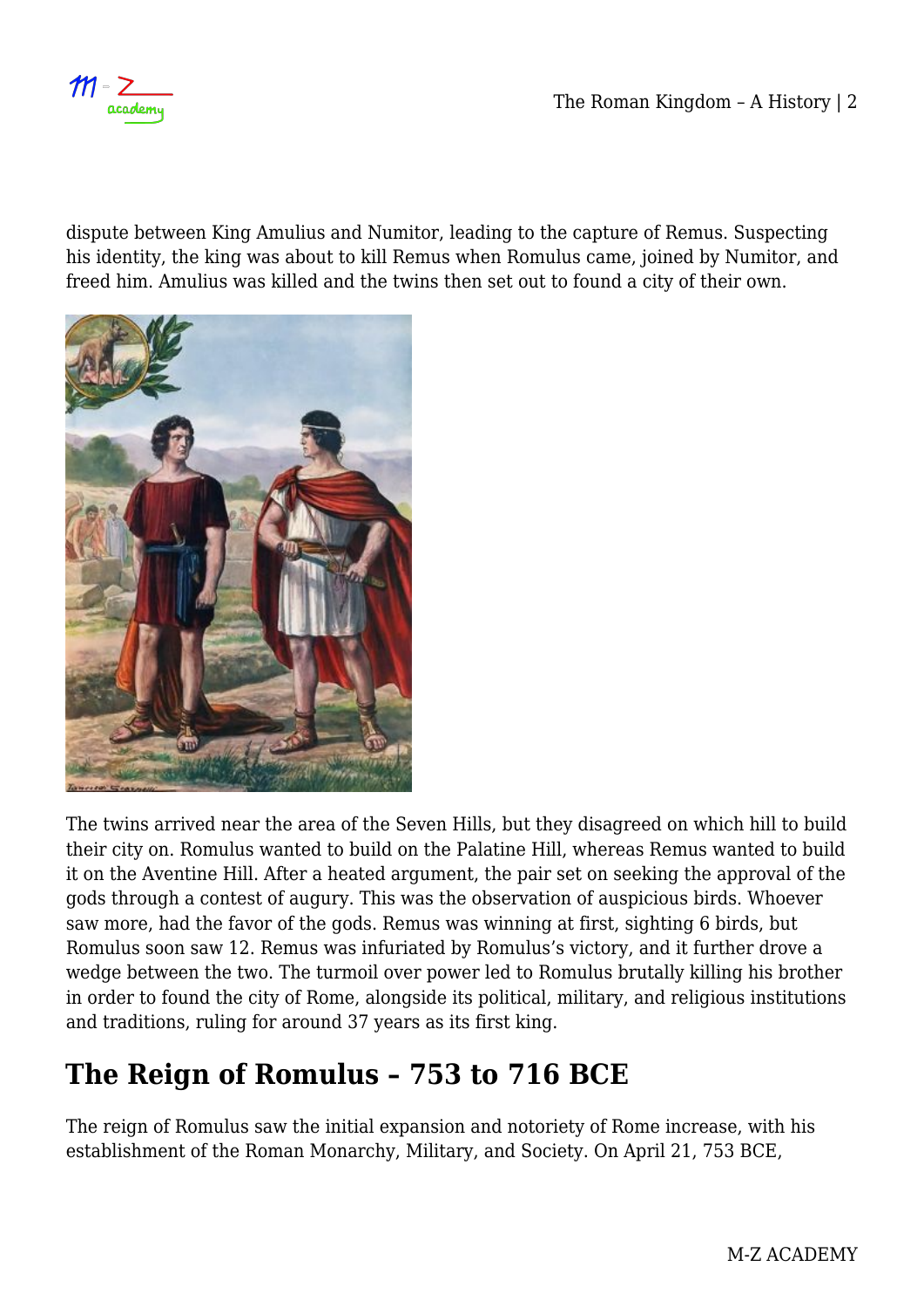

dispute between King Amulius and Numitor, leading to the capture of Remus. Suspecting his identity, the king was about to kill Remus when Romulus came, joined by Numitor, and freed him. Amulius was killed and the twins then set out to found a city of their own.



The twins arrived near the area of the Seven Hills, but they disagreed on which hill to build their city on. Romulus wanted to build on the Palatine Hill, whereas Remus wanted to build it on the Aventine Hill. After a heated argument, the pair set on seeking the approval of the gods through a contest of augury. This was the observation of auspicious birds. Whoever saw more, had the favor of the gods. Remus was winning at first, sighting 6 birds, but Romulus soon saw 12. Remus was infuriated by Romulus's victory, and it further drove a wedge between the two. The turmoil over power led to Romulus brutally killing his brother in order to found the city of Rome, alongside its political, military, and religious institutions and traditions, ruling for around 37 years as its first king.

## **The Reign of Romulus – 753 to 716 BCE**

The reign of Romulus saw the initial expansion and notoriety of Rome increase, with his establishment of the Roman Monarchy, Military, and Society. On April 21, 753 BCE,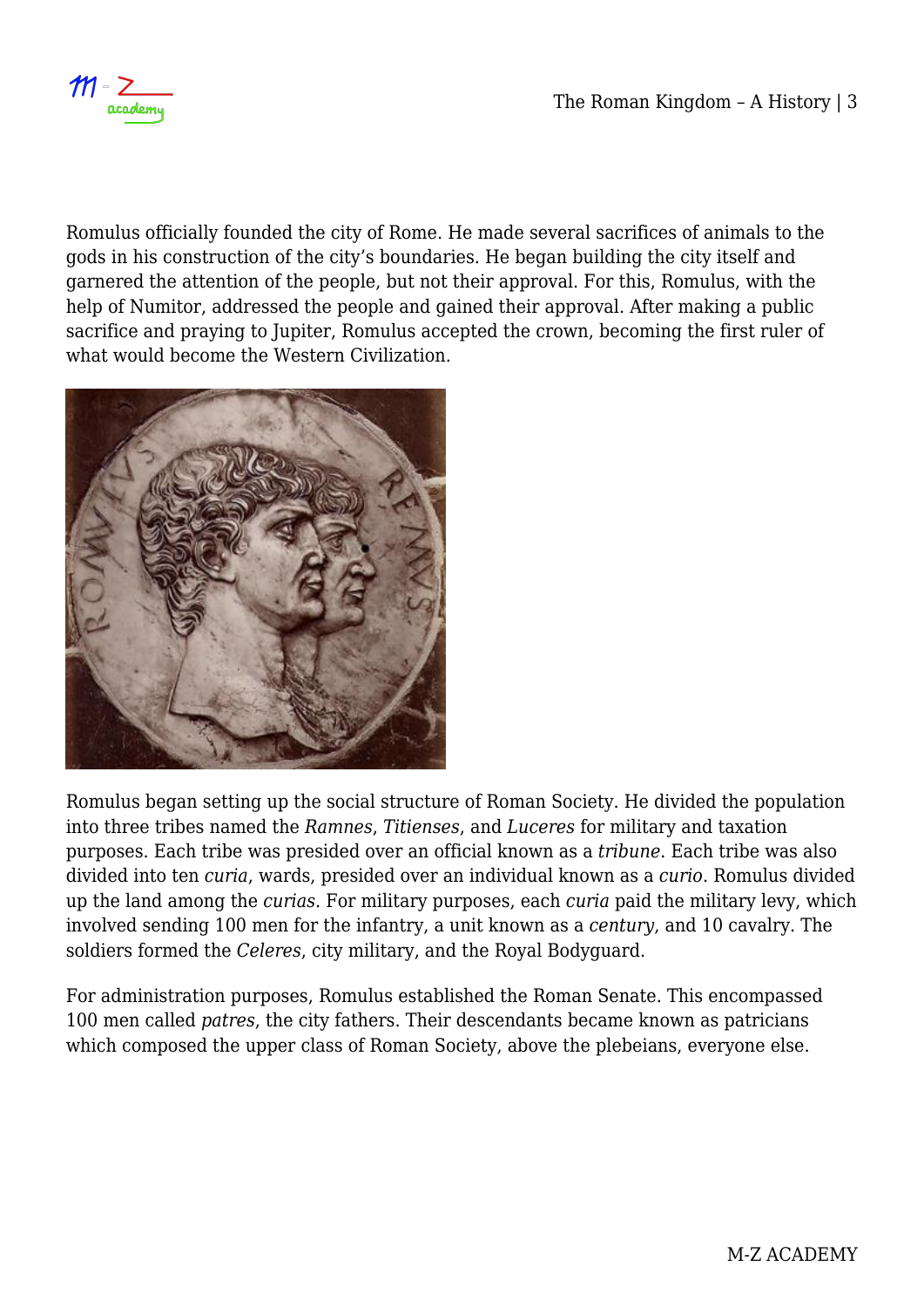

Romulus officially founded the city of Rome. He made several sacrifices of animals to the gods in his construction of the city's boundaries. He began building the city itself and garnered the attention of the people, but not their approval. For this, Romulus, with the help of Numitor, addressed the people and gained their approval. After making a public sacrifice and praying to Jupiter, Romulus accepted the crown, becoming the first ruler of what would become the Western Civilization.



Romulus began setting up the social structure of Roman Society. He divided the population into three tribes named the *Ramnes*, *Titienses*, and *Luceres* for military and taxation purposes. Each tribe was presided over an official known as a *tribune*. Each tribe was also divided into ten *curia*, wards, presided over an individual known as a *curio*. Romulus divided up the land among the *curias*. For military purposes, each *curia* paid the military levy, which involved sending 100 men for the infantry, a unit known as a *century*, and 10 cavalry. The soldiers formed the *Celeres*, city military, and the Royal Bodyguard.

For administration purposes, Romulus established the Roman Senate. This encompassed 100 men called *patres*, the city fathers. Their descendants became known as patricians which composed the upper class of Roman Society, above the plebeians, everyone else.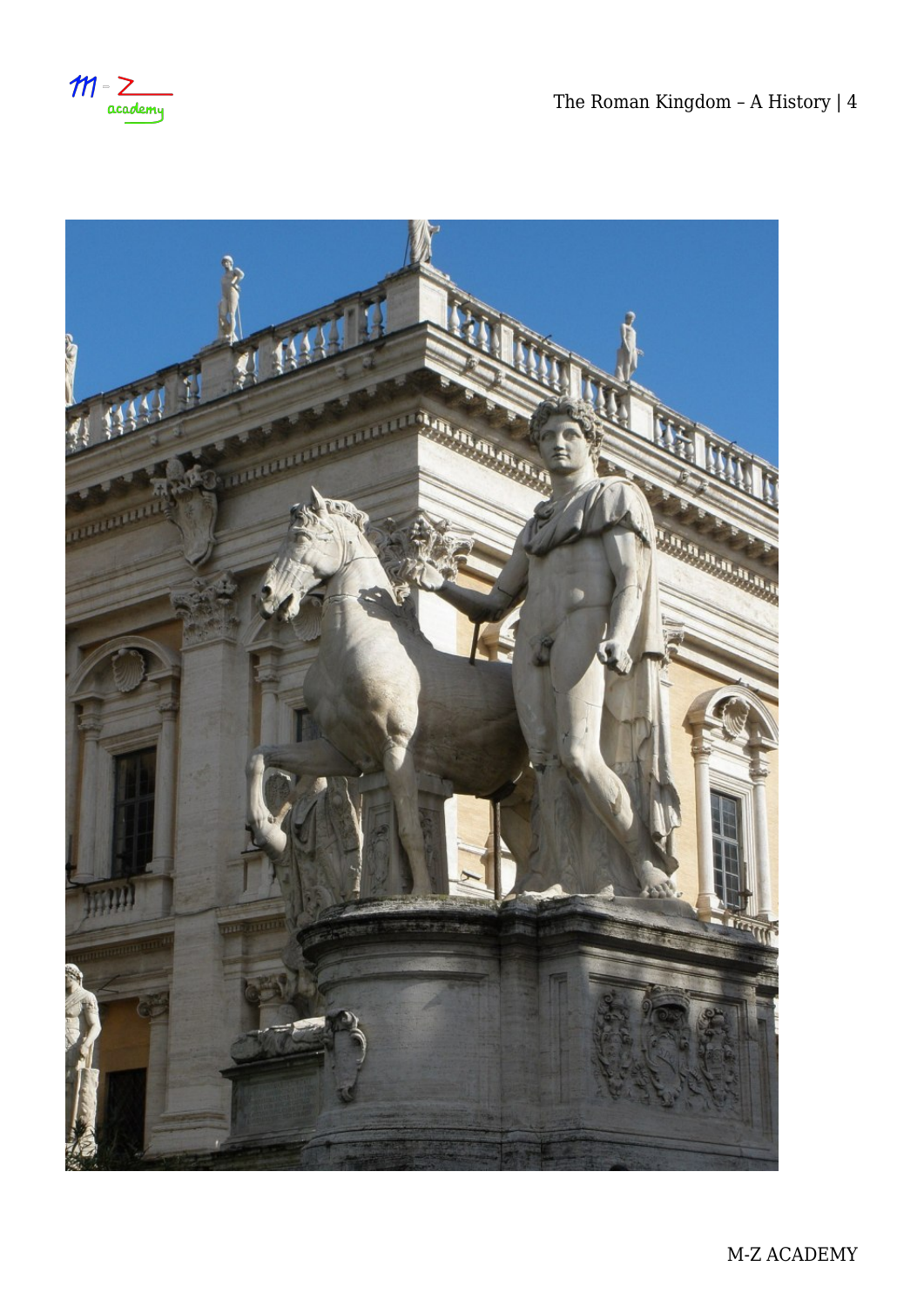$m \frac{2}{\text{academy}}$ 

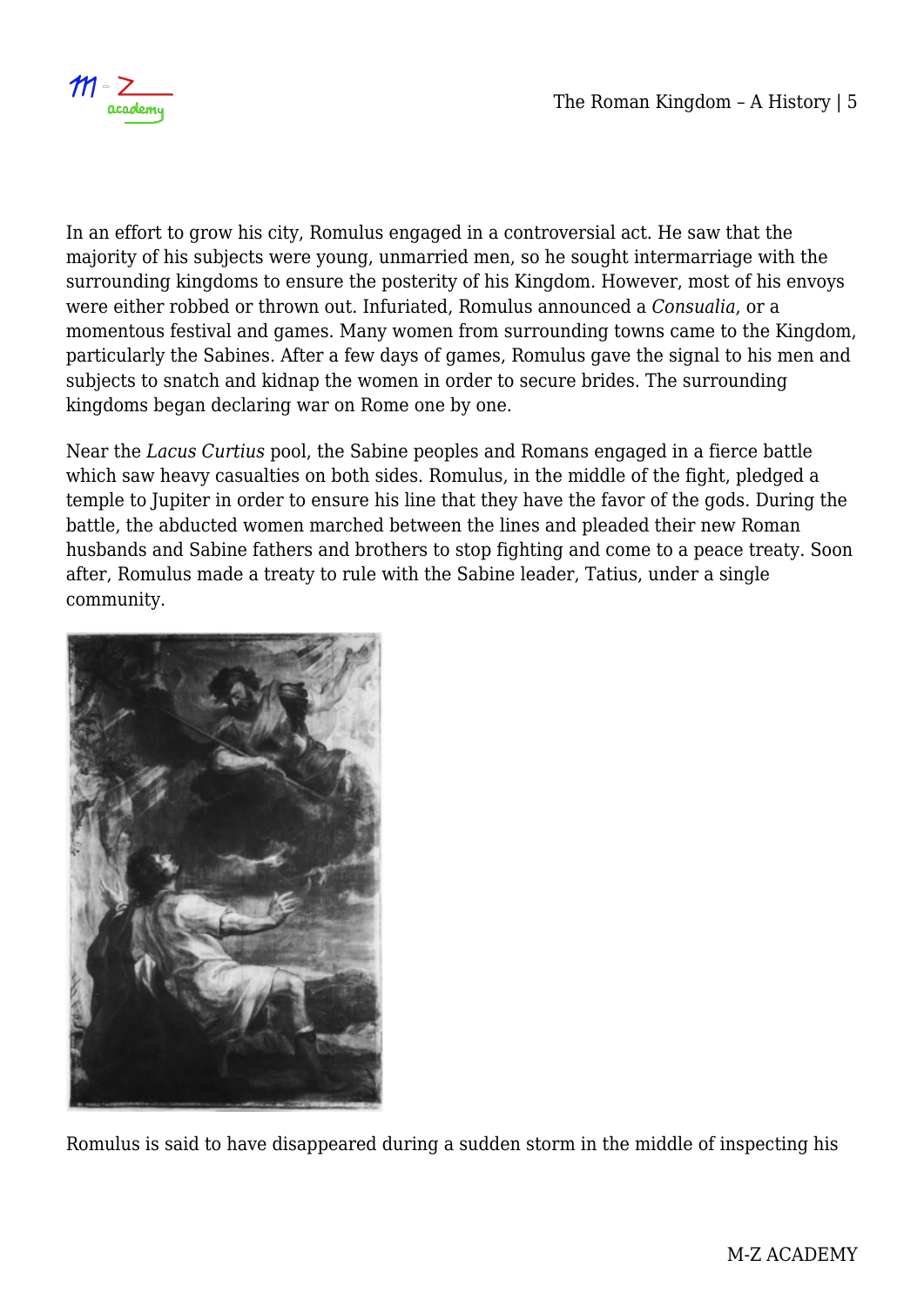

In an effort to grow his city, Romulus engaged in a controversial act. He saw that the majority of his subjects were young, unmarried men, so he sought intermarriage with the surrounding kingdoms to ensure the posterity of his Kingdom. However, most of his envoys were either robbed or thrown out. Infuriated, Romulus announced a *Consualia*, or a momentous festival and games. Many women from surrounding towns came to the Kingdom, particularly the Sabines. After a few days of games, Romulus gave the signal to his men and subjects to snatch and kidnap the women in order to secure brides. The surrounding kingdoms began declaring war on Rome one by one.

Near the *Lacus Curtius* pool, the Sabine peoples and Romans engaged in a fierce battle which saw heavy casualties on both sides. Romulus, in the middle of the fight, pledged a temple to Jupiter in order to ensure his line that they have the favor of the gods. During the battle, the abducted women marched between the lines and pleaded their new Roman husbands and Sabine fathers and brothers to stop fighting and come to a peace treaty. Soon after, Romulus made a treaty to rule with the Sabine leader, Tatius, under a single community.



Romulus is said to have disappeared during a sudden storm in the middle of inspecting his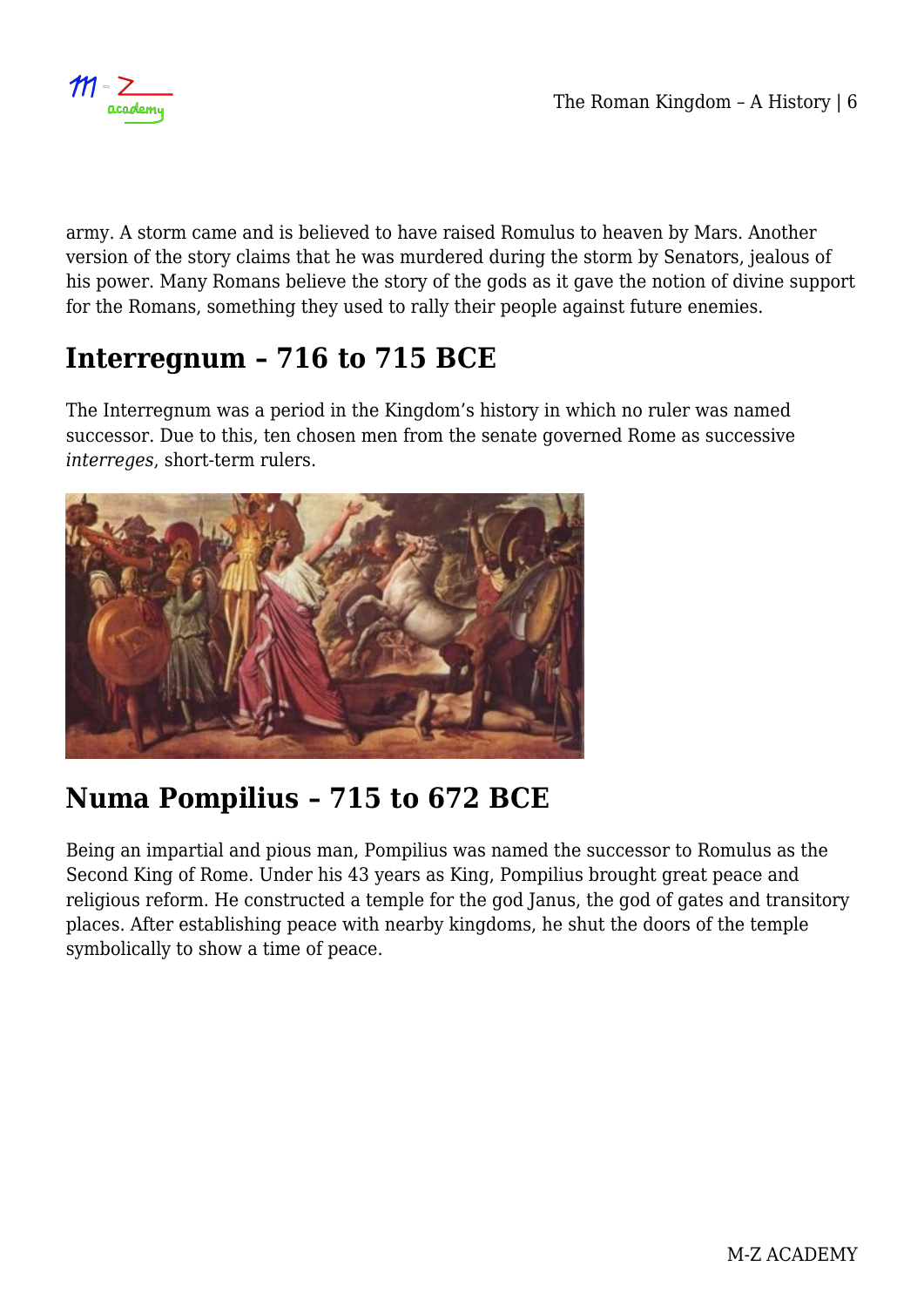

army. A storm came and is believed to have raised Romulus to heaven by Mars. Another version of the story claims that he was murdered during the storm by Senators, jealous of his power. Many Romans believe the story of the gods as it gave the notion of divine support for the Romans, something they used to rally their people against future enemies.

## **Interregnum – 716 to 715 BCE**

The Interregnum was a period in the Kingdom's history in which no ruler was named successor. Due to this, ten chosen men from the senate governed Rome as successive *interreges*, short-term rulers.



# **Numa Pompilius – 715 to 672 BCE**

Being an impartial and pious man, Pompilius was named the successor to Romulus as the Second King of Rome. Under his 43 years as King, Pompilius brought great peace and religious reform. He constructed a temple for the god Janus, the god of gates and transitory places. After establishing peace with nearby kingdoms, he shut the doors of the temple symbolically to show a time of peace.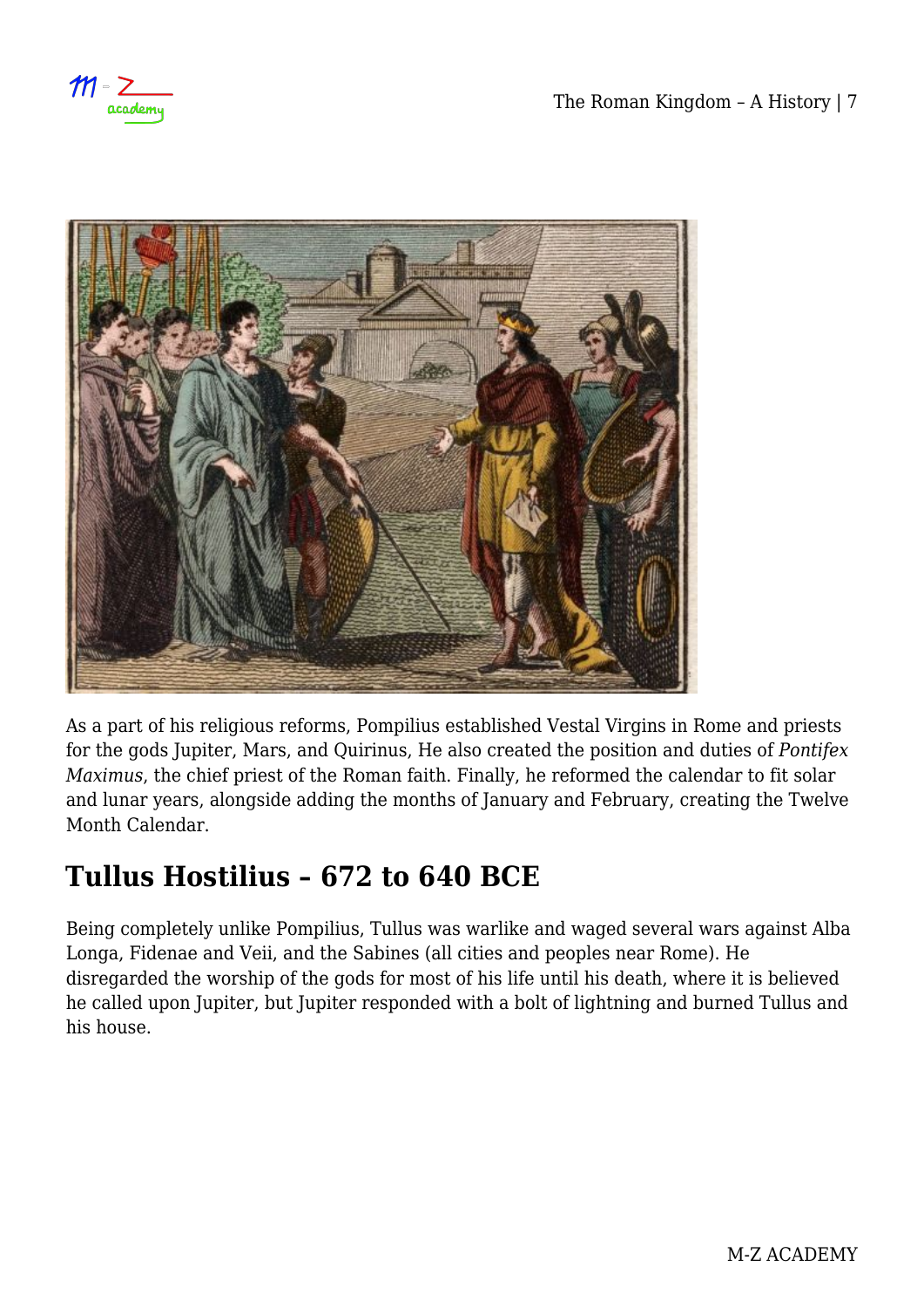$m - z$ academy



As a part of his religious reforms, Pompilius established Vestal Virgins in Rome and priests for the gods Jupiter, Mars, and Quirinus, He also created the position and duties of *Pontifex Maximus*, the chief priest of the Roman faith. Finally, he reformed the calendar to fit solar and lunar years, alongside adding the months of January and February, creating the Twelve Month Calendar.

### **Tullus Hostilius – 672 to 640 BCE**

Being completely unlike Pompilius, Tullus was warlike and waged several wars against Alba Longa, Fidenae and Veii, and the Sabines (all cities and peoples near Rome). He disregarded the worship of the gods for most of his life until his death, where it is believed he called upon Jupiter, but Jupiter responded with a bolt of lightning and burned Tullus and his house.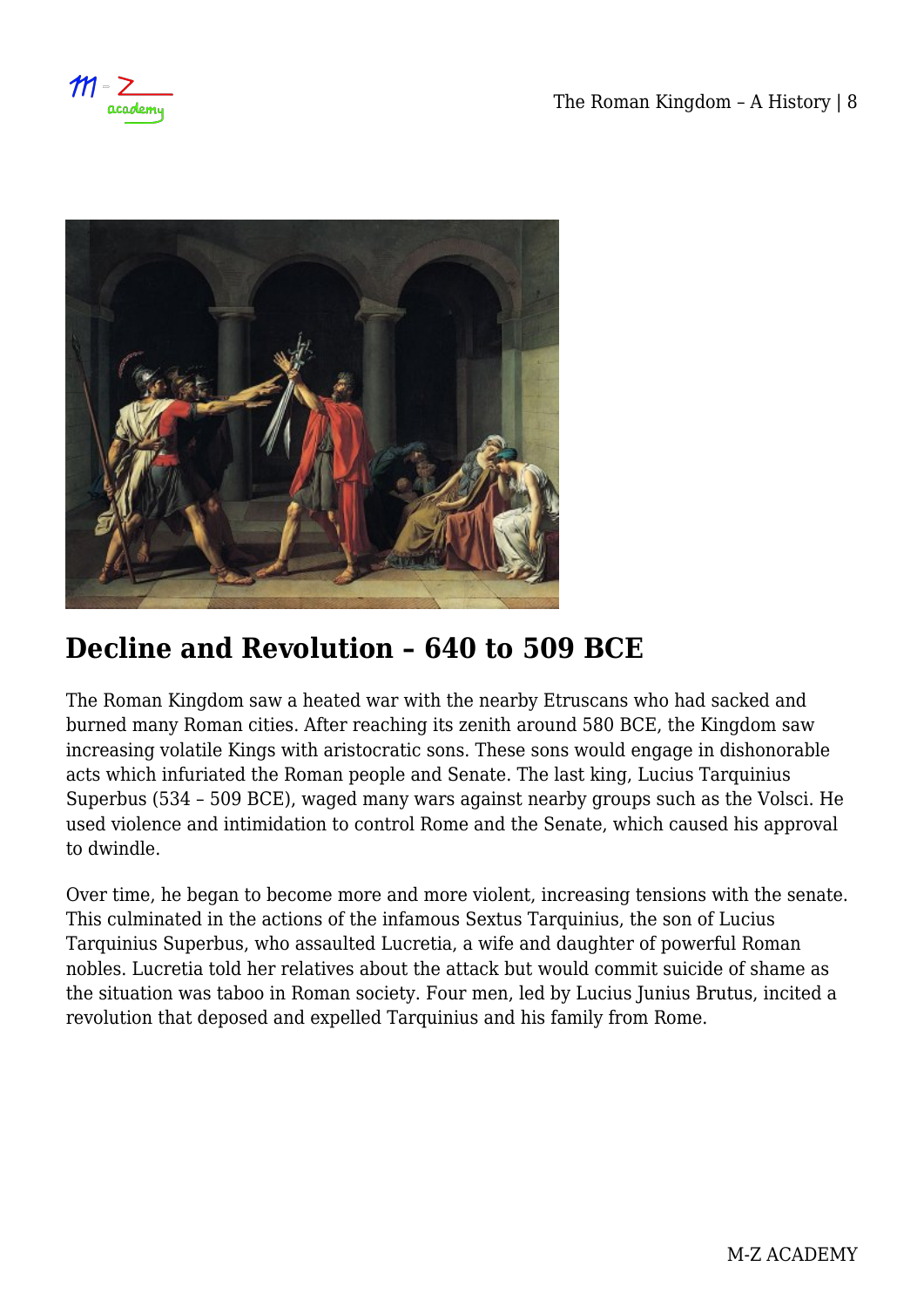$m - z$ academ



### **Decline and Revolution – 640 to 509 BCE**

The Roman Kingdom saw a heated war with the nearby Etruscans who had sacked and burned many Roman cities. After reaching its zenith around 580 BCE, the Kingdom saw increasing volatile Kings with aristocratic sons. These sons would engage in dishonorable acts which infuriated the Roman people and Senate. The last king, Lucius Tarquinius Superbus (534 – 509 BCE), waged many wars against nearby groups such as the Volsci. He used violence and intimidation to control Rome and the Senate, which caused his approval to dwindle.

Over time, he began to become more and more violent, increasing tensions with the senate. This culminated in the actions of the infamous Sextus Tarquinius, the son of Lucius Tarquinius Superbus, who assaulted Lucretia, a wife and daughter of powerful Roman nobles. Lucretia told her relatives about the attack but would commit suicide of shame as the situation was taboo in Roman society. Four men, led by Lucius Junius Brutus, incited a revolution that deposed and expelled Tarquinius and his family from Rome.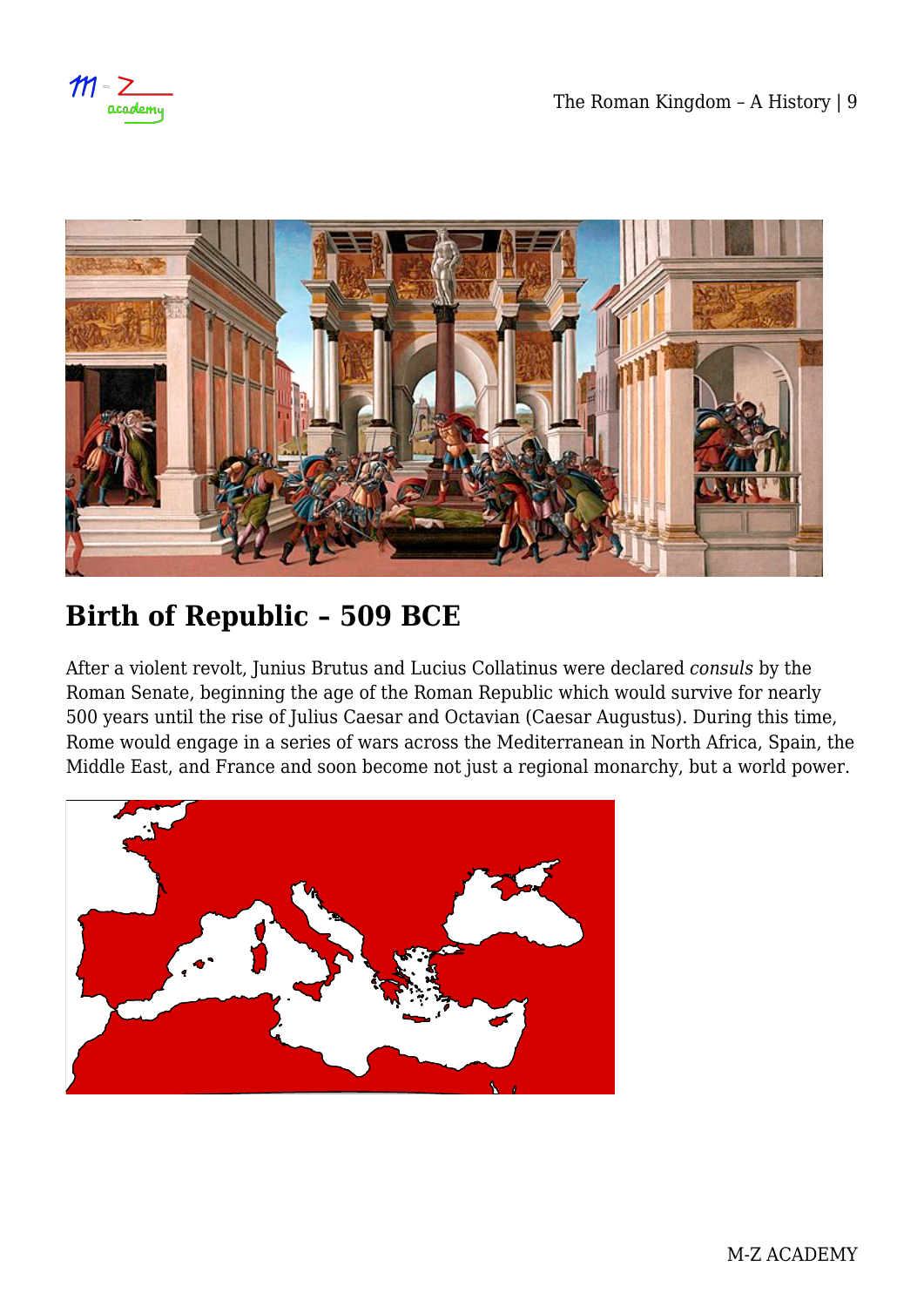$m - 7$ academy



### **Birth of Republic – 509 BCE**

After a violent revolt, Junius Brutus and Lucius Collatinus were declared *consuls* by the Roman Senate, beginning the age of the Roman Republic which would survive for nearly 500 years until the rise of Julius Caesar and Octavian (Caesar Augustus). During this time, Rome would engage in a series of wars across the Mediterranean in North Africa, Spain, the Middle East, and France and soon become not just a regional monarchy, but a world power.